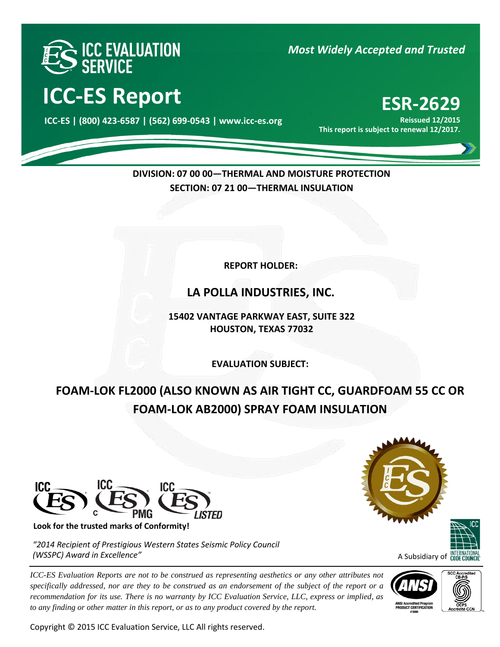

*Most Widely Accepted and Trusted* 

# **ICC-ES Report ESR-2629**

000 **ICC-ES | (800) 423-6587 | (562) 699-0543 | www.icc-es.org**

**Reissued 12/2015 This report is subject to renewal 12/2017.**

# **DIVISION: 07 00 00—THERMAL AND MOISTURE PROTECTION SECTION: 07 21 00—THERMAL INSULATION**

**REPORT HOLDER:** 

**LA POLLA INDUSTRIES, INC.**

**15402 VANTAGE PARKWAY EAST, SUITE 322 HOUSTON, TEXAS 77032**

**EVALUATION SUBJECT:**

**FOAM-LOK FL2000 (ALSO KNOWN AS AIR TIGHT CC, GUARDFOAM 55 CC OR FOAM-LOK AB2000) SPRAY FOAM INSULATION**



**Look for the trusted marks of Conformity!** 

*"2014 Recipient of Prestigious Western States Seismic Policy Council (WSSPC) Award in Excellence"*

*ICC-ES Evaluation Reports are not to be construed as representing aesthetics or any other attributes not specifically addressed, nor are they to be construed as an endorsement of the subject of the report or a recommendation for its use. There is no warranty by ICC Evaluation Service, LLC, express or implied, as to any finding or other matter in this report, or as to any product covered by the report.*

Copyright © 2015 ICC Evaluation Service, LLC All rights reserved.



A Subsidiary of **CODE COU** 



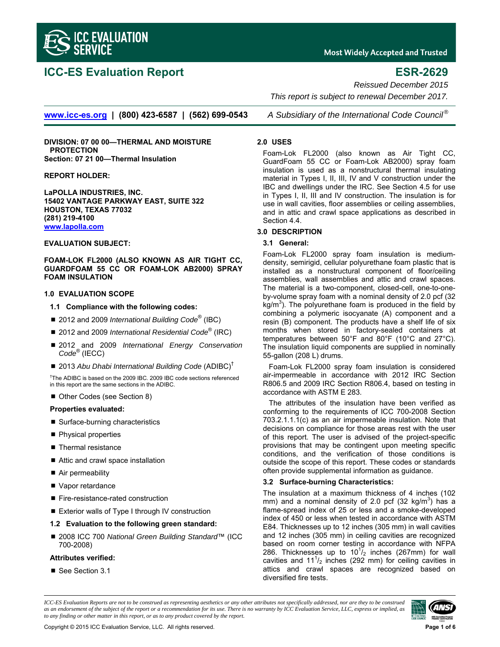

# **ICC-ES Evaluation Report ESR-2629**

**Most Widely Accepted and Trusted** 

*Reissued December 2015* 

 *This report is subject to renewal December 2017.* 

**www.icc-es.org | (800) 423-6587 | (562) 699-0543** *A Subsidiary of the International Code Council ®*

**DIVISION: 07 00 00—THERMAL AND MOISTURE PROTECTION Section: 07 21 00—Thermal Insulation** 

#### **REPORT HOLDER:**

**LaPOLLA INDUSTRIES, INC. 15402 VANTAGE PARKWAY EAST, SUITE 322 HOUSTON, TEXAS 77032 (281) 219-4100 www.lapolla.com**

#### **EVALUATION SUBJECT:**

**FOAM-LOK FL2000 (ALSO KNOWN AS AIR TIGHT CC, GUARDFOAM 55 CC OR FOAM-LOK AB2000) SPRAY FOAM INSULATION** 

#### **1.0 EVALUATION SCOPE**

- **1.1 Compliance with the following codes:**
- 2012 and 2009 *International Building Code*<sup>®</sup> (IBC)
- 2012 and 2009 *International Residential Code*<sup>®</sup> (IRC)
- 2012 and 2009 *International Energy Conservation Code*® (IECC)
- 2013 Abu Dhabi International Building Code (ADIBC)<sup>†</sup>

† The ADIBC is based on the 2009 IBC. 2009 IBC code sections referenced in this report are the same sections in the ADIBC.

Other Codes (see Section 8)

#### **Properties evaluated:**

- Surface-burning characteristics
- Physical properties
- Thermal resistance
- Attic and crawl space installation
- Air permeability
- Vapor retardance
- Fire-resistance-rated construction
- Exterior walls of Type I through IV construction
- **1.2 Evaluation to the following green standard:**
- 2008 ICC 700 *National Green Building Standard*™ (ICC 700-2008)

#### **Attributes verified:**

■ See Section 3.1

#### **2.0 USES**

Foam-Lok FL2000 (also known as Air Tight CC, GuardFoam 55 CC or Foam-Lok AB2000) spray foam insulation is used as a nonstructural thermal insulating material in Types I, II, III, IV and V construction under the IBC and dwellings under the IRC. See Section 4.5 for use in Types I, II, III and IV construction. The insulation is for use in wall cavities, floor assemblies or ceiling assemblies, and in attic and crawl space applications as described in Section 4.4.

#### **3.0 DESCRIPTION**

#### **3.1 General:**

Foam-Lok FL2000 spray foam insulation is mediumdensity, semirigid, cellular polyurethane foam plastic that is installed as a nonstructural component of floor/ceiling assemblies, wall assemblies and attic and crawl spaces. The material is a two-component, closed-cell, one-to-oneby-volume spray foam with a nominal density of 2.0 pcf (32  $kg/m<sup>3</sup>$ ). The polyurethane foam is produced in the field by combining a polymeric isocyanate (A) component and a resin (B) component. The products have a shelf life of six months when stored in factory-sealed containers at temperatures between 50°F and 80°F (10°C and 27°C). The insulation liquid components are supplied in nominally 55-gallon (208 L) drums.

Foam-Lok FL2000 spray foam insulation is considered air-impermeable in accordance with 2012 IRC Section R806.5 and 2009 IRC Section R806.4, based on testing in accordance with ASTM E 283.

The attributes of the insulation have been verified as conforming to the requirements of ICC 700-2008 Section 703.2.1.1.1(c) as an air impermeable insulation. Note that decisions on compliance for those areas rest with the user of this report. The user is advised of the project-specific provisions that may be contingent upon meeting specific conditions, and the verification of those conditions is outside the scope of this report. These codes or standards often provide supplemental information as guidance.

#### **3.2 Surface-burning Characteristics:**

The insulation at a maximum thickness of 4 inches (102 mm) and a nominal density of 2.0 pcf (32 kg/m<sup>3</sup>) has a flame-spread index of 25 or less and a smoke-developed index of 450 or less when tested in accordance with ASTM E84. Thicknesses up to 12 inches (305 mm) in wall cavities and 12 inches (305 mm) in ceiling cavities are recognized based on room corner testing in accordance with NFPA 286. Thicknesses up to  $10^{17}$ <sub>2</sub> inches (267mm) for wall cavities and  $11^{1}/_{2}$  inches (292 mm) for ceiling cavities in attics and crawl spaces are recognized based on diversified fire tests.

*ICC-ES Evaluation Reports are not to be construed as representing aesthetics or any other attributes not specifically addressed, nor are they to be construed as an endorsement of the subject of the report or a recommendation for its use. There is no warranty by ICC Evaluation Service, LLC, express or implied, as to any finding or other matter in this report, or as to any product covered by the report.*

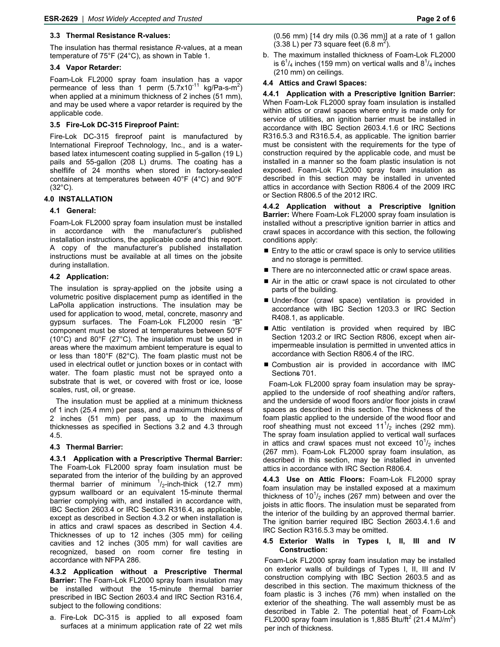#### **3.3 Thermal Resistance R-values:**

The insulation has thermal resistance *R*-values, at a mean temperature of 75°F (24°C), as shown in Table 1.

### **3.4 Vapor Retarder:**

Foam-Lok FL2000 spray foam insulation has a vapor permeance of less than 1 perm  $(5.7 \times 10^{-11} \text{ kg/Pa-s-m}^2)$ when applied at a minimum thickness of 2 inches (51 mm), and may be used where a vapor retarder is required by the applicable code.

### **3.5 Fire-Lok DC-315 Fireproof Paint:**

Fire-Lok DC-315 fireproof paint is manufactured by International Fireproof Technology, Inc., and is a waterbased latex intumescent coating supplied in 5-gallon (19 L) pails and 55-gallon (208 L) drums. The coating has a shelflife of 24 months when stored in factory-sealed containers at temperatures between 40°F (4°C) and 90°F (32°C).

### **4.0 INSTALLATION**

### **4.1 General:**

Foam-Lok FL2000 spray foam insulation must be installed in accordance with the manufacturer's published installation instructions, the applicable code and this report. A copy of the manufacturer's published installation instructions must be available at all times on the jobsite during installation.

### **4.2 Application:**

The insulation is spray-applied on the jobsite using a volumetric positive displacement pump as identified in the LaPolla application instructions. The insulation may be used for application to wood, metal, concrete, masonry and gypsum surfaces. The Foam-Lok FL2000 resin "B" component must be stored at temperatures between 50°F (10°C) and 80°F (27°C). The insulation must be used in areas where the maximum ambient temperature is equal to or less than 180°F (82°C). The foam plastic must not be used in electrical outlet or junction boxes or in contact with water. The foam plastic must not be sprayed onto a substrate that is wet, or covered with frost or ice, loose scales, rust, oil, or grease.

The insulation must be applied at a minimum thickness of 1 inch (25.4 mm) per pass, and a maximum thickness of 2 inches (51 mm) per pass, up to the maximum thicknesses as specified in Sections 3.2 and 4.3 through 4.5.

#### **4.3 Thermal Barrier:**

**4.3.1 Application with a Prescriptive Thermal Barrier:** The Foam-Lok FL2000 spray foam insulation must be separated from the interior of the building by an approved thermal barrier of minimum  $\frac{1}{2}$ -inch-thick (12.7 mm) gypsum wallboard or an equivalent 15-minute thermal barrier complying with, and installed in accordance with, IBC Section 2603.4 or IRC Section R316.4, as applicable, except as described in Section 4.3.2 or when installation is in attics and crawl spaces as described in Section 4.4. Thicknesses of up to 12 inches (305 mm) for ceiling cavities and 12 inches (305 mm) for wall cavities are recognized, based on room corner fire testing in accordance with NFPA 286.

**4.3.2 Application without a Prescriptive Thermal Barrier:** The Foam-Lok FL2000 spray foam insulation may be installed without the 15-minute thermal barrier prescribed in IBC Section 2603.4 and IRC Section R316.4, subject to the following conditions:

a. Fire-Lok DC-315 is applied to all exposed foam surfaces at a minimum application rate of 22 wet mils (0.56 mm) [14 dry mils (0.36 mm)] at a rate of 1 gallon  $(3.38 L)$  per 73 square feet  $(6.8 m<sup>2</sup>)$ .

b. The maximum installed thickness of Foam-Lok FL2000 is  $6^{1}/_{4}$  inches (159 mm) on vertical walls and  $8^{1}/_{4}$  inches (210 mm) on ceilings.

### **4.4 Attics and Crawl Spaces:**

**4.4.1 Application with a Prescriptive Ignition Barrier:**  When Foam-Lok FL2000 spray foam insulation is installed within attics or crawl spaces where entry is made only for service of utilities, an ignition barrier must be installed in accordance with IBC Section 2603.4.1.6 or IRC Sections R316.5.3 and R316.5.4, as applicable. The ignition barrier must be consistent with the requirements for the type of construction required by the applicable code, and must be installed in a manner so the foam plastic insulation is not exposed. Foam-Lok FL2000 spray foam insulation as described in this section may be installed in unvented attics in accordance with Section R806.4 of the 2009 IRC or Section R806.5 of the 2012 IRC.

**4.4.2 Application without a Prescriptive Ignition Barrier:** Where Foam-Lok FL2000 spray foam insulation is installed without a prescriptive ignition barrier in attics and crawl spaces in accordance with this section, the following conditions apply:

- Entry to the attic or crawl space is only to service utilities and no storage is permitted.
- There are no interconnected attic or crawl space areas.
- Air in the attic or crawl space is not circulated to other parts of the building.
- **Under-floor (crawl space) ventilation is provided in** accordance with IBC Section 1203.3 or IRC Section R408.1, as applicable.
- Attic ventilation is provided when required by IBC Section 1203.2 or IRC Section R806, except when airimpermeable insulation is permitted in unvented attics in accordance with Section R806.4 of the IRC.
- Combustion air is provided in accordance with IMC Sections 701.

Foam-Lok FL2000 spray foam insulation may be sprayapplied to the underside of roof sheathing and/or rafters, and the underside of wood floors and/or floor joists in crawl spaces as described in this section. The thickness of the foam plastic applied to the underside of the wood floor and roof sheathing must not exceed  $11^{1}/_{2}$  inches (292 mm). The spray foam insulation applied to vertical wall surfaces in attics and crawl spaces must not exceed  $10^{1/2}$  inches (267 mm). Foam-Lok FL2000 spray foam insulation, as described in this section, may be installed in unvented attics in accordance with IRC Section R806.4.

**4.4.3 Use on Attic Floors:** Foam-Lok FL2000 spray foam insulation may be installed exposed at a maximum thickness of  $10<sup>1</sup>/<sub>2</sub>$  inches (267 mm) between and over the joists in attic floors. The insulation must be separated from the interior of the building by an approved thermal barrier. The ignition barrier required IBC Section 2603.4.1.6 and IRC Section R316.5.3 may be omitted.

#### **4.5 Exterior Walls in Types I, II, III and IV Construction:**

Foam-Lok FL2000 spray foam insulation may be installed on exterior walls of buildings of Types I, II, III and IV construction complying with IBC Section 2603.5 and as described in this section. The maximum thickness of the foam plastic is 3 inches (76 mm) when installed on the exterior of the sheathing. The wall assembly must be as described in Table 2. The potential heat of Foam-Lok FL2000 spray foam insulation is 1,885 Btu/ft<sup>2</sup> (21.4 MJ/m<sup>2</sup>) per inch of thickness.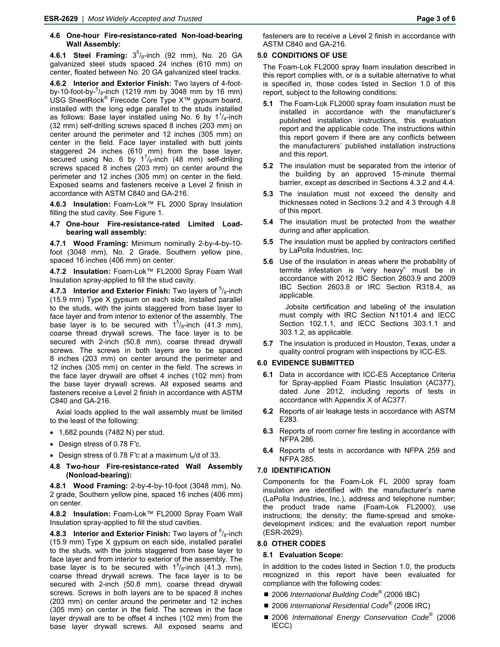#### **4.6 One-hour Fire-resistance-rated Non-load-bearing Wall Assembly:**

**4.6.1 Steel Framing:** 35 /8-inch (92 mm), No. 20 GA galvanized steel studs spaced 24 inches (610 mm) on center, floated between No. 20 GA galvanized steel tracks.

**4.6.2 Interior and Exterior Finish:** Two layers of 4-footby-10-foot-by- $5/8$ -inch (1219 mm by 3048 mm by 16 mm) USG SheetRock® Firecode Core Type X™ gypsum board, installed with the long edge parallel to the studs installed as follows: Base layer installed using No. 6 by  $1^{1}/_{4}$ -inch (32 mm) self-drilling screws spaced 8 inches (203 mm) on center around the perimeter and 12 inches (305 mm) on center in the field. Face layer installed with butt joints staggered 24 inches (610 mm) from the base layer, secured using No. 6 by  $1^{7}/_{8}$ -inch (48 mm) self-drilling screws spaced 8 inches (203 mm) on center around the perimeter and 12 inches (305 mm) on center in the field. Exposed seams and fasteners receive a Level 2 finish in accordance with ASTM C840 and GA-216.

**4.6.3 Insulation:** Foam-Lok™ FL 2000 Spray Insulation filling the stud cavity. See Figure 1.

**4.7 One-hour Fire-resistance-rated Limited Loadbearing wall assembly:** 

**4.7.1 Wood Framing:** Minimum nominally 2-by-4-by-10 foot (3048 mm), No. 2 Grade, Southern yellow pine, spaced 16 inches (406 mm) on center.

**4.7.2 Insulation:** Foam-Lok™ FL2000 Spray Foam Wall Insulation spray-applied to fill the stud cavity.

**4.7.3 Interior and Exterior Finish:** Two layers of  $5/8$ -inch (15.9 mm) Type X gypsum on each side, installed parallel to the studs, with the joints staggered from base layer to face layer and from interior to exterior of the assembly. The base layer is to be secured with  $1^5$ / $_8$ -inch (41.3 mm), coarse thread drywall screws. The face layer is to be secured with 2-inch (50.8 mm), coarse thread drywall screws. The screws in both layers are to be spaced 8 inches (203 mm) on center around the perimeter and 12 inches (305 mm) on center in the field. The screws in the face layer drywall are offset 4 inches (102 mm) from the base layer drywall screws. All exposed seams and fasteners receive a Level 2 finish in accordance with ASTM C840 and GA-216.

Axial loads applied to the wall assembly must be limited to the least of the following:

- $\bullet$  1,682 pounds (7482 N) per stud.
- Design stress of 0.78 F'c.
- Design stress of 0.78 F'c at a maximum  $I_e/d$  of 33.
- **4.8 Two-hour Fire-resistance-rated Wall Assembly (Nonload-bearing):**

**4.8.1 Wood Framing:** 2-by-4-by-10-foot (3048 mm), No. 2 grade, Southern yellow pine, spaced 16 inches (406 mm) on center.

**4.8.2 Insulation:** Foam-Lok™ FL2000 Spray Foam Wall Insulation spray-applied to fill the stud cavities.

**4.8.3 Interior and Exterior Finish:** Two layers of  $5/8$ -inch (15.9 mm) Type X gypsum on each side, installed parallel to the studs, with the joints staggered from base layer to face layer and from interior to exterior of the assembly. The base layer is to be secured with  $1^5$ /<sub>8</sub>-inch (41.3 mm), coarse thread drywall screws. The face layer is to be secured with 2-inch (50.8 mm), coarse thread drywall screws. Screws in both layers are to be spaced 8 inches (203 mm) on center around the perimeter and 12 inches (305 mm) on center in the field. The screws in the face layer drywall are to be offset 4 inches (102 mm) from the base layer drywall screws. All exposed seams and

#### **5.0 CONDITIONS OF USE**

The Foam-Lok FL2000 spray foam insulation described in this report complies with, or is a suitable alternative to what is specified in, those codes listed in Section 1.0 of this report, subject to the following conditions:

- **5.1** The Foam-Lok FL2000 spray foam insulation must be installed in accordance with the manufacturer's published installation instructions, this evaluation report and the applicable code. The instructions within this report govern if there are any conflicts between the manufacturers' published installation instructions and this report.
- **5.2** The insulation must be separated from the interior of the building by an approved 15-minute thermal barrier, except as described in Sections 4.3.2 and 4.4.
- **5.3** The insulation must not exceed the density and thicknesses noted in Sections 3.2 and 4.3 through 4.8 of this report.
- **5.4** The insulation must be protected from the weather during and after application.
- **5.5** The insulation must be applied by contractors certified by LaPolla Industries, Inc.
- **5.6** Use of the insulation in areas where the probability of termite infestation is "very heavy" must be in accordance with 2012 IBC Section 2603.9 and 2009 IBC Section 2603.8 or IRC Section R318.4, as applicable.

Jobsite certification and labeling of the insulation must comply with IRC Section N1101.4 and IECC Section 102.1.1, and IECC Sections 303.1.1 and 303.1.2, as applicable.

**5.7** The insulation is produced in Houston, Texas, under a quality control program with inspections by ICC-ES.

#### **6.0 EVIDENCE SUBMITTED**

- **6.1** Data in accordance with ICC-ES Acceptance Criteria for Spray-applied Foam Plastic Insulation (AC377), dated June 2012, including reports of tests in accordance with Appendix X of AC377.
- **6.2** Reports of air leakage tests in accordance with ASTM E283.
- **6.3** Reports of room corner fire testing in accordance with NFPA 286.
- **6.4** Reports of tests in accordance with NFPA 259 and NFPA 285.

#### **7.0 IDENTIFICATION**

Components for the Foam-Lok FL 2000 spray foam insulation are identified with the manufacturer's name (LaPolla Industries, Inc.), address and telephone number; the product trade name (Foam-Lok FL2000); use instructions; the density; the flame-spread and smokedevelopment indices; and the evaluation report number (ESR-2629).

#### **8.0 OTHER CODES**

#### **8.1 Evaluation Scope:**

In addition to the codes listed in Section 1.0, the products recognized in this report have been evaluated for compliance with the following codes:

- 2006 *International Building Code*<sup>®</sup> (2006 IBC)
- 2006 *International Residential Code*<sup>®</sup> (2006 IRC)
- 2006 *International Energy Conservation Code*<sup>®</sup> (2006 IECC)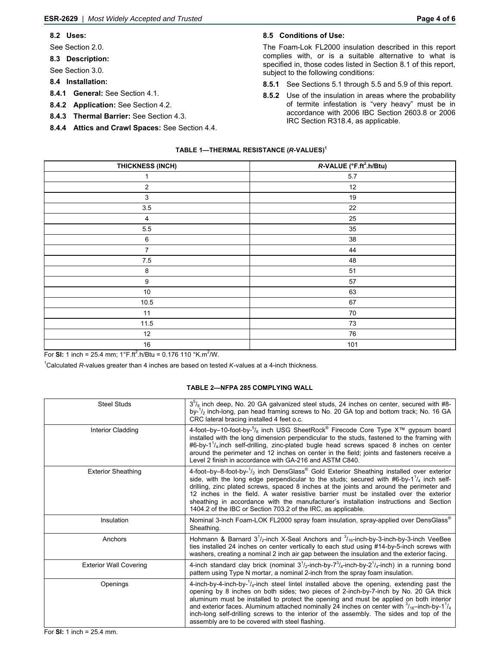#### **8.2 Uses:**

See Section 2.0.

**8.3 Description:** 

See Section 3.0.

- **8.4 Installation:**
- **8.4.1 General:** See Section 4.1.
- **8.4.2 Application:** See Section 4.2.
- **8.4.3 Thermal Barrier:** See Section 4.3.
- **8.4.4 Attics and Crawl Spaces:** See Section 4.4.

### **8.5 Conditions of Use:**

The Foam-Lok FL2000 insulation described in this report complies with, or is a suitable alternative to what is specified in, those codes listed in Section 8.1 of this report, subject to the following conditions:

- **8.5.1** See Sections 5.1 through 5.5 and 5.9 of this report.
- **8.5.2** Use of the insulation in areas where the probability of termite infestation is "very heavy" must be in accordance with 2006 IBC Section 2603.8 or 2006 IRC Section R318.4, as applicable.

#### **TABLE 1—THERMAL RESISTANCE (***R-***VALUES)1**

| THICKNESS (INCH)                       | R-VALUE (°F.ft <sup>2</sup> .h/Btu) |
|----------------------------------------|-------------------------------------|
| 1                                      | 5.7                                 |
| $\boldsymbol{2}$                       | 12                                  |
| $\mathbf{3}$                           | $19$                                |
| $3.5\,$                                | 22                                  |
| $\overline{4}$                         | 25                                  |
| $5.5\,$                                | 35                                  |
| $\,6\,$                                | $38\,$                              |
| $\overline{7}$                         | 44                                  |
| $7.5\,$                                | 48                                  |
| $\bf 8$                                | 51                                  |
| $\boldsymbol{9}$                       | $57\,$                              |
| $10\,$                                 | 63                                  |
| 10.5                                   | 67                                  |
| 11                                     | 70                                  |
| 11.5                                   | 73                                  |
| 12                                     | 76                                  |
| $16\,$<br>$2 - 1$<br>$\cdot$ 2 $\cdot$ | 101                                 |

For SI: 1 inch = 25.4 mm;  $1^{\circ}$ F.ft<sup>2</sup>.h/Btu = 0.176 110  $^{\circ}$ K.m<sup>2</sup>/W.

1 Calculated *R*-values greater than 4 inches are based on tested *K*-values at a 4-inch thickness.

#### **TABLE 2—NFPA 285 COMPLYING WALL**

| <b>Steel Studs</b>            | $3\degree$ / <sub>8</sub> inch deep, No. 20 GA galvanized steel studs, 24 inches on center, secured with #8-<br>by- $\frac{1}{2}$ inch-long, pan head framing screws to No. 20 GA top and bottom track; No. 16 GA<br>CRC lateral bracing installed 4 feet o.c.                                                                                                                                                                                                                                                                                              |
|-------------------------------|-------------------------------------------------------------------------------------------------------------------------------------------------------------------------------------------------------------------------------------------------------------------------------------------------------------------------------------------------------------------------------------------------------------------------------------------------------------------------------------------------------------------------------------------------------------|
| Interior Cladding             | 4-foot-by-10-foot-by- $5/8$ inch USG SheetRock <sup>®</sup> Firecode Core Type X <sup>™</sup> gypsum board<br>installed with the long dimension perpendicular to the studs, fastened to the framing with<br>#6-by-1 <sup>1</sup> / <sub>4</sub> inch self-drilling, zinc-plated bugle head screws spaced 8 inches on center<br>around the perimeter and 12 inches on center in the field; joints and fasteners receive a<br>Level 2 finish in accordance with GA-216 and ASTM C840.                                                                         |
| <b>Exterior Sheathing</b>     | 4-foot-by-8-foot-by- $1/2$ inch DensGlass <sup>®</sup> Gold Exterior Sheathing installed over exterior<br>side, with the long edge perpendicular to the studs; secured with #6-by-1 $\frac{1}{4}$ inch self-<br>drilling, zinc plated screws, spaced 8 inches at the joints and around the perimeter and<br>12 inches in the field. A water resistive barrier must be installed over the exterior<br>sheathing in accordance with the manufacturer's installation instructions and Section<br>1404.2 of the IBC or Section 703.2 of the IRC, as applicable. |
| Insulation                    | Nominal 3-inch Foam-LOK FL2000 spray foam insulation, spray-applied over DensGlass®<br>Sheathing.                                                                                                                                                                                                                                                                                                                                                                                                                                                           |
| Anchors                       | Hohmann & Barnard $3^{1}/_{2}$ -inch X-Seal Anchors and $3/_{16}$ -inch-by-3-inch-by-3-inch VeeBee<br>ties installed 24 inches on center vertically to each stud using #14-by-5-inch screws with<br>washers, creating a nominal 2 inch air gap between the insulation and the exterior facing.                                                                                                                                                                                                                                                              |
| <b>Exterior Wall Covering</b> | 4-inch standard clay brick (nominal $3^1/2$ -inch-by- $7^3/4$ -inch-by- $2^1/4$ -inch) in a running bond<br>pattern using Type N mortar, a nominal 2-inch from the spray foam insulation.                                                                                                                                                                                                                                                                                                                                                                   |
| Openings                      | 4-inch-by-4-inch-by- $\frac{1}{4}$ -inch steel lintel installed above the opening, extending past the<br>opening by 8 inches on both sides; two pieces of 2-inch-by-7-inch by No. 20 GA thick<br>aluminum must be installed to protect the opening and must be applied on both interior<br>and exterior faces. Aluminum attached nominally 24 inches on center with $\frac{3}{16}$ -inch-by-1 $\frac{1}{4}$<br>inch-long self-drilling screws to the interior of the assembly. The sides and top of the<br>assembly are to be covered with steel flashing.  |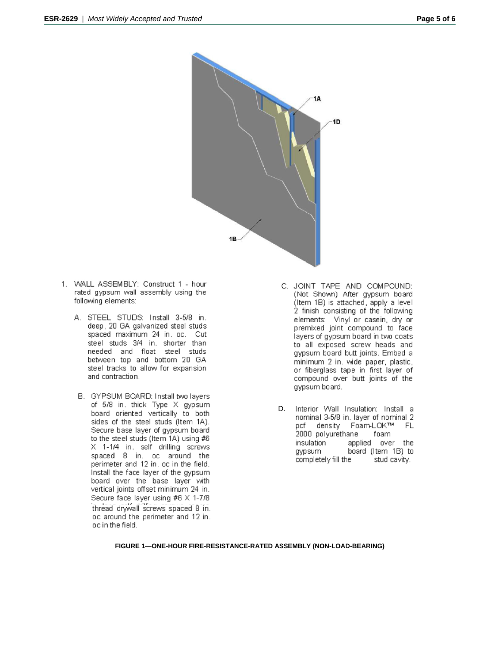

- 1. WALL ASSEMBLY: Construct 1 hour rated gypsum wall assembly using the following elements:
	- A. STEEL STUDS: Install 3-5/8 in. deep, 20 GA galvanized steel studs spaced maximum 24 in, oc. Cut steel studs 3/4 in, shorter than needed and float steel studs between top and bottom 20 GA steel tracks to allow for expansion and contraction.
	- B. GYPSUM BOARD: Install two layers of 5/8 in. thick Type X gypsum board oriented vertically to both sides of the steel studs (Item 1A). Secure base layer of gypsum board to the steel studs (Item 1A) using #6 X 1-1/4 in. self drilling screws spaced 8 in. oc around the perimeter and 12 in. oc in the field. Install the face layer of the gypsum board over the base layer with vertical joints offset minimum 24 in. Secure face layer using #6 X 1-7/8 thread drywall screws spaced 8 in. oc around the perimeter and 12 in. oc in the field.
- C. JOINT TAPE AND COMPOUND: (Not Shown) After gypsum board (Item 1B) is attached, apply a level 2 finish consisting of the following elements: Vinyl or casein, dry or premixed joint compound to face layers of gypsum board in two coats to all exposed screw heads and gypsum board butt joints. Embed a minimum 2 in. wide paper, plastic, or fiberglass tape in first layer of compound over butt joints of the gypsum board.
- D. Interior Wall Insulation: Install a nominal 3-5/8 in. layer of nominal 2 pcf density Foam-LOK™ FL 2000 polyurethane foam insulation applied over the board (Item 1B) to gypsum completely fill the stud cavity.

#### **FIGURE 1—ONE-HOUR FIRE-RESISTANCE-RATED ASSEMBLY (NON-LOAD-BEARING)**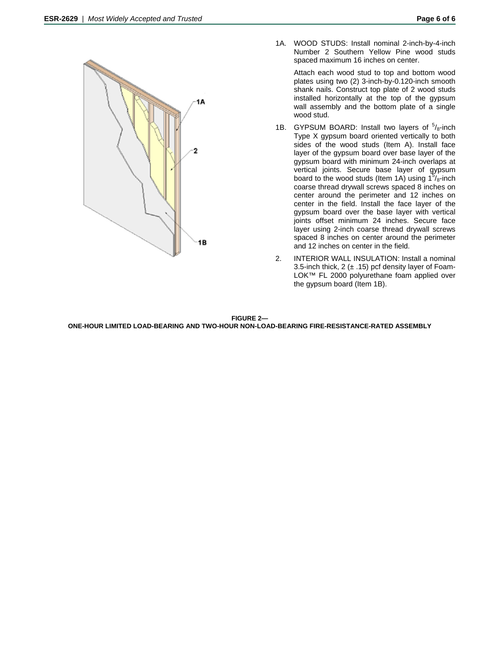

1A. WOOD STUDS: Install nominal 2-inch-by-4-inch Number 2 Southern Yellow Pine wood studs spaced maximum 16 inches on center.

> Attach each wood stud to top and bottom wood plates using two (2) 3-inch-by-0.120-inch smooth shank nails. Construct top plate of 2 wood studs installed horizontally at the top of the gypsum wall assembly and the bottom plate of a single wood stud.

- 1B. GYPSUM BOARD: Install two layers of  $5/8$ -inch Type X gypsum board oriented vertically to both sides of the wood studs (Item A). Install face layer of the gypsum board over base layer of the gypsum board with minimum 24-inch overlaps at vertical joints. Secure base layer of gypsum board to the wood studs (Item 1A) using  $1^{5}/_8$ -inch coarse thread drywall screws spaced 8 inches on center around the perimeter and 12 inches on center in the field. Install the face layer of the gypsum board over the base layer with vertical joints offset minimum 24 inches. Secure face layer using 2-inch coarse thread drywall screws spaced 8 inches on center around the perimeter and 12 inches on center in the field.
- 2. INTERIOR WALL INSULATION: Install a nominal 3.5-inch thick, 2  $(\pm 0.15)$  pcf density layer of Foam-LOK™ FL 2000 polyurethane foam applied over the gypsum board (Item 1B).

**FIGURE 2— ONE-HOUR LIMITED LOAD-BEARING AND TWO-HOUR NON-LOAD-BEARING FIRE-RESISTANCE-RATED ASSEMBLY**